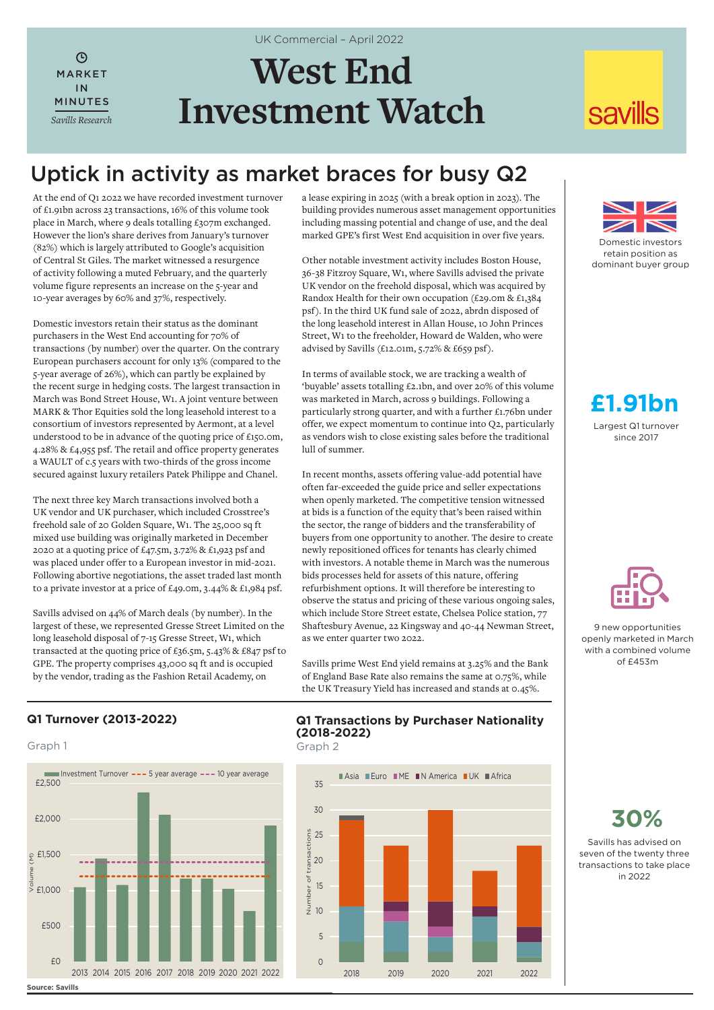$\mathcal{L}$ MARKET IN MINUTES *Savills Research*

# **West End Investment Watch**

UK Commercial – April 2022

## **savills**

### Uptick in activity as market braces for busy Q2

At the end of Q1 2022 we have recorded investment turnover of £1.91bn across 23 transactions, 16% of this volume took place in March, where 9 deals totalling £307m exchanged. However the lion's share derives from January's turnover (82%) which is largely attributed to Google's acquisition of Central St Giles. The market witnessed a resurgence of activity following a muted February, and the quarterly volume figure represents an increase on the 5-year and 10-year averages by 60% and 37%, respectively.

Domestic investors retain their status as the dominant purchasers in the West End accounting for 70% of transactions (by number) over the quarter. On the contrary European purchasers account for only 13% (compared to the 5-year average of 26%), which can partly be explained by the recent surge in hedging costs. The largest transaction in March was Bond Street House, W1. A joint venture between MARK & Thor Equities sold the long leasehold interest to a consortium of investors represented by Aermont, at a level understood to be in advance of the quoting price of £150.0m, 4.28% & £4,955 psf. The retail and office property generates a WAULT of c.5 years with two-thirds of the gross income secured against luxury retailers Patek Philippe and Chanel.

The next three key March transactions involved both a UK vendor and UK purchaser, which included Crosstree's freehold sale of 20 Golden Square, W1. The 25,000 sq ft mixed use building was originally marketed in December 2020 at a quoting price of £47.5m, 3.72% & £1,923 psf and was placed under offer to a European investor in mid-2021. Following abortive negotiations, the asset traded last month to a private investor at a price of £49.0m, 3.44% & £1,984 psf.

Savills advised on 44% of March deals (by number). In the largest of these, we represented Gresse Street Limited on the long leasehold disposal of 7-15 Gresse Street, W1, which transacted at the quoting price of £36.5m, 5.43% & £847 psf to GPE. The property comprises 43,000 sq ft and is occupied by the vendor, trading as the Fashion Retail Academy, on

a lease expiring in 2025 (with a break option in 2023). The building provides numerous asset management opportunities including massing potential and change of use, and the deal marked GPE's first West End acquisition in over five years.

Other notable investment activity includes Boston House, 36-38 Fitzroy Square, W1, where Savills advised the private UK vendor on the freehold disposal, which was acquired by Randox Health for their own occupation (£29.0m & £1,384 psf). In the third UK fund sale of 2022, abrdn disposed of the long leasehold interest in Allan House, 10 John Princes Street, W1 to the freeholder, Howard de Walden, who were advised by Savills (£12.01m, 5.72% & £659 psf).

In terms of available stock, we are tracking a wealth of 'buyable' assets totalling £2.1bn, and over 20% of this volume was marketed in March, across 9 buildings. Following a particularly strong quarter, and with a further £1.76bn under offer, we expect momentum to continue into Q2, particularly as vendors wish to close existing sales before the traditional lull of summer.

In recent months, assets offering value-add potential have often far-exceeded the guide price and seller expectations when openly marketed. The competitive tension witnessed at bids is a function of the equity that's been raised within the sector, the range of bidders and the transferability of buyers from one opportunity to another. The desire to create newly repositioned offices for tenants has clearly chimed with investors. A notable theme in March was the numerous bids processes held for assets of this nature, offering refurbishment options. It will therefore be interesting to observe the status and pricing of these various ongoing sales, which include Store Street estate, Chelsea Police station, 77 Shaftesbury Avenue, 22 Kingsway and 40-44 Newman Street, as we enter quarter two 2022.

Savills prime West End yield remains at 3.25% and the Bank of England Base Rate also remains the same at 0.75%, while the UK Treasury Yield has increased and stands at 0.45%.



Domestic investors retain position as dominant buyer group

Largest Q1 turnover since 2017 **£1.91bn**



9 new opportunities openly marketed in March with a combined volume  $of$   $f453m$ 

#### **Q1 Turnover (2013-2022)**





#### **Q1 Transactions by Purchaser Nationality (2018-2022)**



**30%**

Savills has advised on seven of the twenty three transactions to take place in 2022